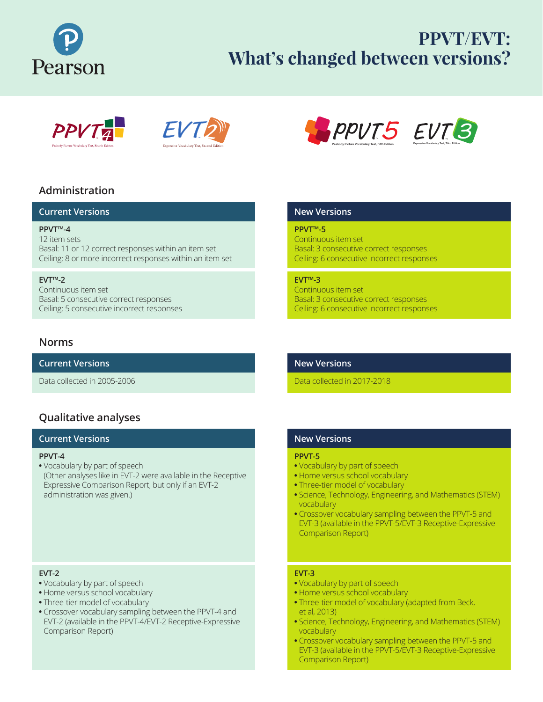

# **PPVT/EVT: What's changed between versions?**





## **Administration**

### **Current Versions**

**PPVT™-4**  12 item sets Basal: 11 or 12 correct responses within an item set Ceiling: 8 or more incorrect responses within an item set

### **EVT™-2**

Continuous item set Basal: 5 consecutive correct responses Ceiling: 5 consecutive incorrect responses

### **Norms**

**Current Versions**

Data collected in 2005-2006

### **Qualitative analyses**

### **Current Versions**

#### **PPVT-4**

**•** Vocabulary by part of speech (Other analyses like in EVT-2 were available in the Receptive Expressive Comparison Report, but only if an EVT-2 administration was given.)

### **EVT-2**

- **•** Vocabulary by part of speech
- **•** Home versus school vocabulary
- **•** Three-tier model of vocabulary
- **•** Crossover vocabulary sampling between the PPVT-4 and EVT-2 (available in the PPVT-4/EVT-2 Receptive-Expressive Comparison Report)



### **New Versions**

### **PPVT™-5**

Continuous item set Basal: 3 consecutive correct responses Ceiling: 6 consecutive incorrect responses

### **EVT™-3**

Continuous item set Basal: 3 consecutive correct responses Ceiling: 6 consecutive incorrect responses

### **New Versions**

Data collected in 2017-2018

### **New Versions**

#### **PPVT-5**

- **•** Vocabulary by part of speech
- **•** Home versus school vocabulary
- **•** Three-tier model of vocabulary
- **•** Science, Technology, Engineering, and Mathematics (STEM) vocabulary
- **•** Crossover vocabulary sampling between the PPVT-5 and EVT-3 (available in the PPVT-5/EVT-3 Receptive-Expressive Comparison Report)

#### **EVT-3**

- **•** Vocabulary by part of speech
- **•** Home versus school vocabulary
- **•** Three-tier model of vocabulary (adapted from Beck, et al, 2013)
- **•** Science, Technology, Engineering, and Mathematics (STEM) vocabulary
- **•** Crossover vocabulary sampling between the PPVT-5 and EVT-3 (available in the PPVT-5/EVT-3 Receptive-Expressive Comparison Report)